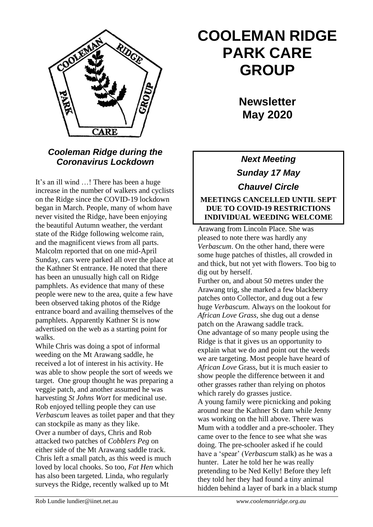

## *Cooleman Ridge during the Coronavirus Lockdown*

It's an ill wind …! There has been a huge increase in the number of walkers and cyclists on the Ridge since the COVID-19 lockdown began in March. People, many of whom have never visited the Ridge, have been enjoying the beautiful Autumn weather, the verdant state of the Ridge following welcome rain, and the magnificent views from all parts. Malcolm reported that on one mid-April Sunday, cars were parked all over the place at the Kathner St entrance. He noted that there has been an unusually high call on Ridge pamphlets. As evidence that many of these people were new to the area, quite a few have been observed taking photos of the Ridge entrance board and availing themselves of the pamphlets. Apparently Kathner St is now advertised on the web as a starting point for walks.

While Chris was doing a spot of informal weeding on the Mt Arawang saddle, he received a lot of interest in his activity. He was able to show people the sort of weeds we target. One group thought he was preparing a veggie patch, and another assumed he was harvesting *St Johns Wort* for medicinal use. Rob enjoyed telling people they can use *Verbascum* leaves as toilet paper and that they can stockpile as many as they like. Over a number of days, Chris and Rob attacked two patches of *Cobblers Peg* on either side of the Mt Arawang saddle track. Chris left a small patch, as this weed is much loved by local chooks. So too, *Fat Hen* which has also been targeted*.* Linda, who regularly surveys the Ridge, recently walked up to Mt

# **COOLEMAN RIDGE PARK CARE GROUP**

**Newsletter May 2020** 

*Next Meeting Sunday 17 May Chauvel Circle*

#### **MEETINGS CANCELLED UNTIL SEPT DUE TO COVID-19 RESTRICTIONS INDIVIDUAL WEEDING WELCOME**

Arawang from Lincoln Place. She was pleased to note there was hardly any *Verbascum*. On the other hand, there were some huge patches of thistles, all crowded in and thick, but not yet with flowers. Too big to dig out by herself.

Further on, and about 50 metres under the Arawang trig, she marked a few blackberry patches onto Collector, and dug out a few huge *Verbascum*. Always on the lookout for *African Love Grass,* she dug out a dense patch on the Arawang saddle track. One advantage of so many people using the Ridge is that it gives us an opportunity to explain what we do and point out the weeds we are targeting. Most people have heard of *African Love* Grass, but it is much easier to show people the difference between it and other grasses rather than relying on photos which rarely do grasses justice. A young family were picnicking and poking around near the Kathner St dam while Jenny was working on the hill above. There was Mum with a toddler and a pre-schooler. They came over to the fence to see what she was doing. The pre-schooler asked if he could have a 'spear' (*Verbascum* stalk) as he was a hunter. Later he told her he was really pretending to be Ned Kelly! Before they left they told her they had found a tiny animal hidden behind a layer of bark in a black stump